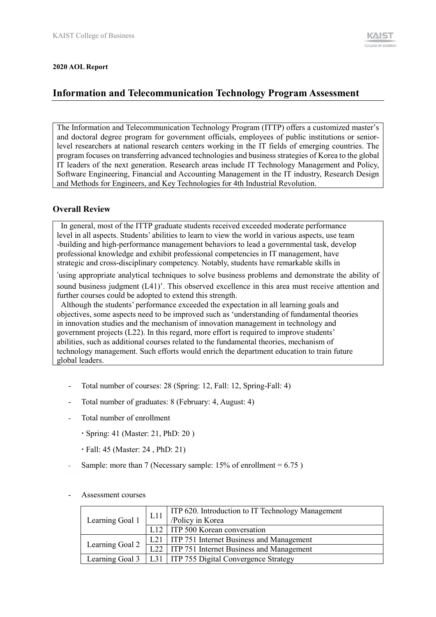#### **2020 AOL Report**

# **Information and Telecommunication Technology Program Assessment**

The Information and Telecommunication Technology Program (ITTP) offers a customized master's and doctoral degree program for government officials, employees of public institutions or seniorlevel researchers at national research centers working in the IT fields of emerging countries. The program focuses on transferring advanced technologies and business strategies of Korea to the global IT leaders of the next generation. Research areas include IT Technology Management and Policy, Software Engineering, Financial and Accounting Management in the IT industry, Research Design and Methods for Engineers, and Key Technologies for 4th Industrial Revolution.

## **Overall Review**

In general, most of the ITTP graduate students received exceeded moderate performance level in all aspects. Students' abilities to learn to view the world in various aspects, use team -building and high-performance management behaviors to lead a governmental task, develop professional knowledge and exhibit professional competencies in IT management, have strategic and cross-disciplinary competency. Notably, students have remarkable skills in

'using appropriate analytical techniques to solve business problems and demonstrate the ability of sound business judgment (L41)'. This observed excellence in this area must receive attention and further courses could be adopted to extend this strength.

Although the students' performance exceeded the expectation in all learning goals and objectives, some aspects need to be improved such as 'understanding of fundamental theories in innovation studies and the mechanism of innovation management in technology and government projects (L22). In this regard, more effort is required to improve students' abilities, such as additional courses related to the fundamental theories, mechanism of technology management. Such efforts would enrich the department education to train future global leaders.

- Total number of courses: 28 (Spring: 12, Fall: 12, Spring-Fall: 4)
- Total number of graduates: 8 (February: 4, August: 4)
- Total number of enrollment
	- Spring: 41 (Master: 21, PhD: 20 )
	- Fall: 45 (Master: 24 , PhD: 21)
- Sample: more than 7 (Necessary sample:  $15%$  of enrollment = 6.75)

| Learning Goal 1                                              | L11 | ITP 620. Introduction to IT Technology Management<br>/Policy in Korea   |
|--------------------------------------------------------------|-----|-------------------------------------------------------------------------|
|                                                              |     | L12   ITP 500 Korean conversation                                       |
|                                                              |     | L21   ITP 751 Internet Business and Management                          |
|                                                              |     | Learning Goal 2   <u>L22</u>   ITP 751 Internet Business and Management |
| Learning Goal 3   L31   ITP 755 Digital Convergence Strategy |     |                                                                         |

#### Assessment courses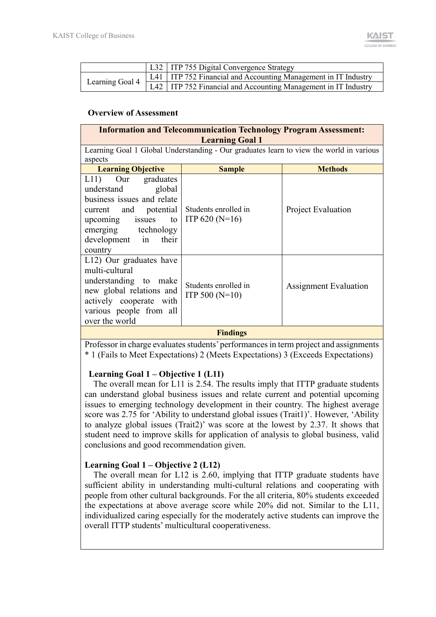|                 | L32   ITP 755 Digital Convergence Strategy                                |
|-----------------|---------------------------------------------------------------------------|
| Learning Goal 4 | L41   ITP 752 Financial and Accounting Management in IT Industry          |
|                 | $\text{L}42$   ITP 752 Financial and Accounting Management in IT Industry |

#### **Overview of Assessment**

| <b>Information and Telecommunication Technology Program Assessment:</b><br><b>Learning Goal 1</b>                                                                                      |                                                                                         |                           |  |  |
|----------------------------------------------------------------------------------------------------------------------------------------------------------------------------------------|-----------------------------------------------------------------------------------------|---------------------------|--|--|
|                                                                                                                                                                                        | Learning Goal 1 Global Understanding - Our graduates learn to view the world in various |                           |  |  |
| aspects                                                                                                                                                                                |                                                                                         |                           |  |  |
| <b>Learning Objective</b>                                                                                                                                                              | <b>Sample</b>                                                                           | <b>Methods</b>            |  |  |
| L11) Our graduates<br>understand<br>global<br>business issues and relate<br>current and potential<br>upcoming issues<br>to  <br>emerging technology<br>development in their<br>country | Students enrolled in<br>ITP $620(N=16)$                                                 | <b>Project Evaluation</b> |  |  |
| L12) Our graduates have<br>multi-cultural<br>understanding to make<br>new global relations and<br>actively cooperate with<br>various people from all<br>over the world                 | Students enrolled in<br>ITP 500 $(N=10)$                                                | Assignment Evaluation     |  |  |
|                                                                                                                                                                                        | <b>Findings</b>                                                                         |                           |  |  |

Professor in charge evaluates students' performances in term project and assignments \* 1 (Fails to Meet Expectations) 2 (Meets Expectations) 3 (Exceeds Expectations)

## **Learning Goal 1 – Objective 1 (L11)**

The overall mean for L11 is 2.54. The results imply that ITTP graduate students can understand global business issues and relate current and potential upcoming issues to emerging technology development in their country. The highest average score was 2.75 for 'Ability to understand global issues (Trait1)'. However, 'Ability to analyze global issues (Trait2)' was score at the lowest by 2.37. It shows that student need to improve skills for application of analysis to global business, valid conclusions and good recommendation given.

## **Learning Goal 1 – Objective 2 (L12)**

The overall mean for L12 is 2.60, implying that ITTP graduate students have sufficient ability in understanding multi-cultural relations and cooperating with people from other cultural backgrounds. For the all criteria, 80% students exceeded the expectations at above average score while 20% did not. Similar to the L11, individualized caring especially for the moderately active students can improve the overall ITTP students' multicultural cooperativeness.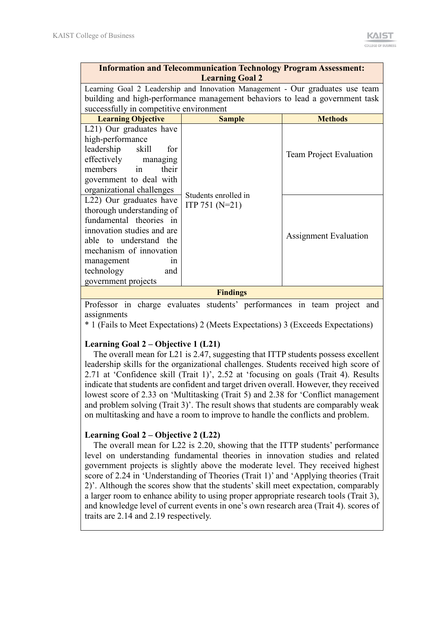| <b>Information and Telecommunication Technology Program Assessment:</b><br><b>Learning Goal 2</b> |                                                                               |                                |  |  |  |
|---------------------------------------------------------------------------------------------------|-------------------------------------------------------------------------------|--------------------------------|--|--|--|
|                                                                                                   | Learning Goal 2 Leadership and Innovation Management - Our graduates use team |                                |  |  |  |
|                                                                                                   | building and high-performance management behaviors to lead a government task  |                                |  |  |  |
| successfully in competitive environment                                                           |                                                                               |                                |  |  |  |
| <b>Learning Objective</b>                                                                         | <b>Sample</b>                                                                 | <b>Methods</b>                 |  |  |  |
| L21) Our graduates have                                                                           |                                                                               |                                |  |  |  |
| high-performance                                                                                  |                                                                               |                                |  |  |  |
| leadership<br>skill<br>for                                                                        |                                                                               |                                |  |  |  |
| effectively managing                                                                              |                                                                               | <b>Team Project Evaluation</b> |  |  |  |
| members<br>their<br>in                                                                            |                                                                               |                                |  |  |  |
| government to deal with                                                                           |                                                                               |                                |  |  |  |
| organizational challenges                                                                         | Students enrolled in                                                          |                                |  |  |  |
| L22) Our graduates have                                                                           | ITP 751 $(N=21)$                                                              |                                |  |  |  |
| thorough understanding of                                                                         |                                                                               |                                |  |  |  |
| fundamental theories in                                                                           |                                                                               |                                |  |  |  |
| innovation studies and are                                                                        |                                                                               |                                |  |  |  |
| able to understand the                                                                            |                                                                               | <b>Assignment Evaluation</b>   |  |  |  |
| mechanism of innovation                                                                           |                                                                               |                                |  |  |  |
| management<br>in                                                                                  |                                                                               |                                |  |  |  |
| technology<br>and                                                                                 |                                                                               |                                |  |  |  |
| government projects                                                                               |                                                                               |                                |  |  |  |
|                                                                                                   | $E_{\rm in}$ din $\sigma_{\rm g}$                                             |                                |  |  |  |

**Findings**

Professor in charge evaluates students' performances in team project and assignments

\* 1 (Fails to Meet Expectations) 2 (Meets Expectations) 3 (Exceeds Expectations)

## **Learning Goal 2 – Objective 1 (L21)**

The overall mean for L21 is 2.47, suggesting that ITTP students possess excellent leadership skills for the organizational challenges. Students received high score of 2.71 at 'Confidence skill (Trait 1)', 2.52 at 'focusing on goals (Trait 4). Results indicate that students are confident and target driven overall. However, they received lowest score of 2.33 on 'Multitasking (Trait 5) and 2.38 for 'Conflict management and problem solving (Trait 3)'. The result shows that students are comparably weak on multitasking and have a room to improve to handle the conflicts and problem.

## **Learning Goal 2 – Objective 2 (L22)**

 The overall mean for L22 is 2.20, showing that the ITTP students' performance level on understanding fundamental theories in innovation studies and related government projects is slightly above the moderate level. They received highest score of 2.24 in 'Understanding of Theories (Trait 1)' and 'Applying theories (Trait 2)'. Although the scores show that the students' skill meet expectation, comparably a larger room to enhance ability to using proper appropriate research tools (Trait 3), and knowledge level of current events in one's own research area (Trait 4). scores of traits are 2.14 and 2.19 respectively.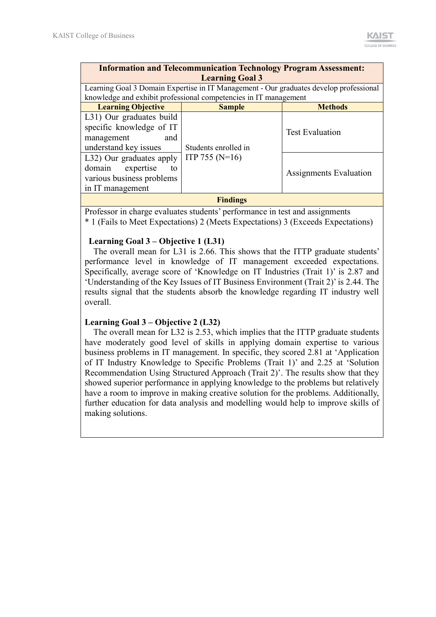| <b>Information and Telecommunication Technology Program Assessment:</b> |                                                                                        |                               |  |  |  |
|-------------------------------------------------------------------------|----------------------------------------------------------------------------------------|-------------------------------|--|--|--|
| <b>Learning Goal 3</b>                                                  |                                                                                        |                               |  |  |  |
|                                                                         | Learning Goal 3 Domain Expertise in IT Management - Our graduates develop professional |                               |  |  |  |
|                                                                         | knowledge and exhibit professional competencies in IT management                       |                               |  |  |  |
| <b>Learning Objective</b>                                               | <b>Sample</b>                                                                          | <b>Methods</b>                |  |  |  |
| L31) Our graduates build                                                |                                                                                        |                               |  |  |  |
| specific knowledge of IT                                                | <b>Test Evaluation</b>                                                                 |                               |  |  |  |
| management<br>and                                                       |                                                                                        |                               |  |  |  |
| understand key issues                                                   |                                                                                        |                               |  |  |  |
| L32) Our graduates apply                                                | ITP 755 ( $N=16$ )                                                                     |                               |  |  |  |
| expertise<br>domain<br>to                                               |                                                                                        | <b>Assignments Evaluation</b> |  |  |  |
| various business problems                                               |                                                                                        |                               |  |  |  |
| in IT management                                                        |                                                                                        |                               |  |  |  |
| <b>Findings</b>                                                         |                                                                                        |                               |  |  |  |

Professor in charge evaluates students' performance in test and assignments \* 1 (Fails to Meet Expectations) 2 (Meets Expectations) 3 (Exceeds Expectations)

## **Learning Goal 3 – Objective 1 (L31)**

 The overall mean for L31 is 2.66. This shows that the ITTP graduate students' performance level in knowledge of IT management exceeded expectations. Specifically, average score of 'Knowledge on IT Industries (Trait 1)' is 2.87 and 'Understanding of the Key Issues of IT Business Environment (Trait 2)' is 2.44. The results signal that the students absorb the knowledge regarding IT industry well overall.

## **Learning Goal 3 – Objective 2 (L32)**

 The overall mean for L32 is 2.53, which implies that the ITTP graduate students have moderately good level of skills in applying domain expertise to various business problems in IT management. In specific, they scored 2.81 at 'Application of IT Industry Knowledge to Specific Problems (Trait 1)' and 2.25 at 'Solution Recommendation Using Structured Approach (Trait 2)'. The results show that they showed superior performance in applying knowledge to the problems but relatively have a room to improve in making creative solution for the problems. Additionally, further education for data analysis and modelling would help to improve skills of making solutions.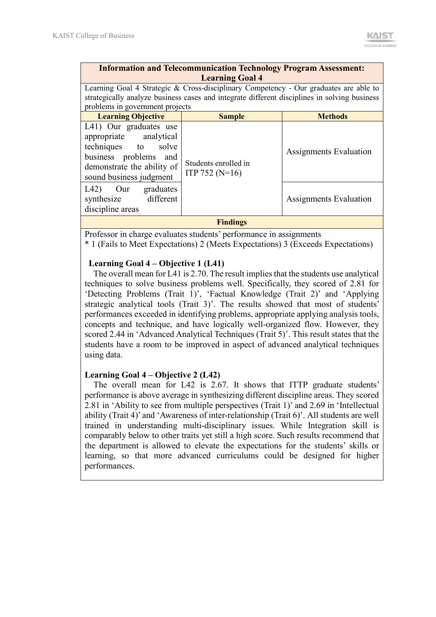| <b>Information and Telecommunication Technology Program Assessment:</b> |
|-------------------------------------------------------------------------|
| <b>Learning Goal 4</b>                                                  |

Learning Goal 4 Strategic & Cross-disciplinary Competency - Our graduates are able to strategically analyze business cases and integrate different disciplines in solving business problems in government projects

| <b>Learning Objective</b>                                                                                                                                 | <b>Sample</b>                              | <b>Methods</b>                |  |  |
|-----------------------------------------------------------------------------------------------------------------------------------------------------------|--------------------------------------------|-------------------------------|--|--|
| L41) Our graduates use<br>appropriate analytical<br>techniques to solve<br>business problems and<br>demonstrate the ability of<br>sound business judgment | Students enrolled in<br>ITP 752 ( $N=16$ ) | <b>Assignments Evaluation</b> |  |  |
| graduates<br>L42)<br>Our<br>synthesize<br>different<br>discipline areas                                                                                   |                                            | Assignments Evaluation        |  |  |
| <b>Findings</b>                                                                                                                                           |                                            |                               |  |  |

Professor in charge evaluates students' performance in assignments

\* 1 (Fails to Meet Expectations) 2 (Meets Expectations) 3 (Exceeds Expectations)

#### **Learning Goal 4 – Objective 1 (L41)**

The overall mean for L41 is 2.70. The result implies that the students use analytical techniques to solve business problems well. Specifically, they scored of 2.81 for 'Detecting Problems (Trait 1)', 'Factual Knowledge (Trait 2)' and 'Applying strategic analytical tools (Trait 3)'. The results showed that most of students' performances exceeded in identifying problems, appropriate applying analysis tools, concepts and technique, and have logically well-organized flow. However, they scored 2.44 in 'Advanced Analytical Techniques (Trait 5)'. This result states that the students have a room to be improved in aspect of advanced analytical techniques using data.

## **Learning Goal 4 – Objective 2 (L42)**

The overall mean for L42 is 2.67. It shows that ITTP graduate students' performance is above average in synthesizing different discipline areas. They scored 2.81 in 'Ability to see from multiple perspectives (Trait 1)' and 2.69 in 'Intellectual ability (Trait 4)' and 'Awareness of inter-relationship (Trait 6)'. All students are well trained in understanding multi-disciplinary issues. While Integration skill is comparably below to other traits yet still a high score. Such results recommend that the department is allowed to elevate the expectations for the students' skills or learning, so that more advanced curriculums could be designed for higher performances.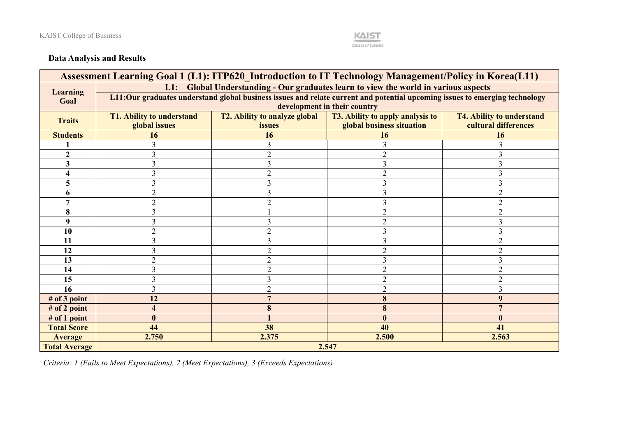

# **Data Analysis and Results**

| Assessment Learning Goal 1 (L1): ITP620 Introduction to IT Technology Management/Policy in Korea(L11) |                                                                                     |                                      |                                                                                                                             |                                  |  |  |
|-------------------------------------------------------------------------------------------------------|-------------------------------------------------------------------------------------|--------------------------------------|-----------------------------------------------------------------------------------------------------------------------------|----------------------------------|--|--|
|                                                                                                       | L1: Global Understanding - Our graduates learn to view the world in various aspects |                                      |                                                                                                                             |                                  |  |  |
| <b>Learning</b><br>Goal                                                                               |                                                                                     |                                      | L11:Our graduates understand global business issues and relate current and potential upcoming issues to emerging technology |                                  |  |  |
|                                                                                                       | development in their country                                                        |                                      |                                                                                                                             |                                  |  |  |
| <b>Traits</b>                                                                                         | <b>T1. Ability to understand</b>                                                    | <b>T2. Ability to analyze global</b> | <b>T3. Ability to apply analysis to</b>                                                                                     | <b>T4. Ability to understand</b> |  |  |
|                                                                                                       | global issues                                                                       | issues                               | global business situation                                                                                                   | cultural differences             |  |  |
| <b>Students</b>                                                                                       | 16                                                                                  | 16                                   | 16                                                                                                                          | 16                               |  |  |
|                                                                                                       |                                                                                     |                                      |                                                                                                                             |                                  |  |  |
|                                                                                                       |                                                                                     |                                      |                                                                                                                             |                                  |  |  |
| 3                                                                                                     |                                                                                     |                                      |                                                                                                                             |                                  |  |  |
|                                                                                                       |                                                                                     |                                      |                                                                                                                             |                                  |  |  |
| 5                                                                                                     |                                                                                     |                                      |                                                                                                                             |                                  |  |  |
| 6                                                                                                     | 2                                                                                   |                                      |                                                                                                                             | $\overline{2}$                   |  |  |
| 7                                                                                                     | $\overline{2}$                                                                      | $\overline{2}$                       | 3                                                                                                                           | $\overline{2}$                   |  |  |
| 8                                                                                                     | 3                                                                                   |                                      | $\mathcal{P}$                                                                                                               | $\overline{2}$                   |  |  |
| 9                                                                                                     | 3                                                                                   |                                      |                                                                                                                             | 3                                |  |  |
| 10                                                                                                    | $\overline{2}$                                                                      | $\mathfrak{D}$                       | 3                                                                                                                           | 3                                |  |  |
| 11                                                                                                    | 3                                                                                   |                                      |                                                                                                                             | $\mathcal{D}$                    |  |  |
| 12                                                                                                    |                                                                                     |                                      |                                                                                                                             | $\overline{2}$                   |  |  |
| 13                                                                                                    |                                                                                     |                                      |                                                                                                                             |                                  |  |  |
| 14                                                                                                    |                                                                                     | ↑                                    |                                                                                                                             | $\overline{2}$                   |  |  |
| 15                                                                                                    |                                                                                     |                                      |                                                                                                                             | $\overline{2}$                   |  |  |
| 16                                                                                                    | 3                                                                                   |                                      |                                                                                                                             | 3                                |  |  |
| # of 3 point                                                                                          | 12                                                                                  |                                      | 8                                                                                                                           | 9                                |  |  |
| $#$ of 2 point                                                                                        | 4                                                                                   |                                      | 8                                                                                                                           |                                  |  |  |
| # of 1 point                                                                                          | $\boldsymbol{0}$                                                                    |                                      |                                                                                                                             | $\boldsymbol{0}$                 |  |  |
| <b>Total Score</b>                                                                                    | 44                                                                                  | 38                                   | 40                                                                                                                          | 41                               |  |  |
| <b>Average</b>                                                                                        | 2.750                                                                               | 2.375                                | 2.500                                                                                                                       | 2.563                            |  |  |
| <b>Total Average</b>                                                                                  |                                                                                     |                                      | 2.547                                                                                                                       |                                  |  |  |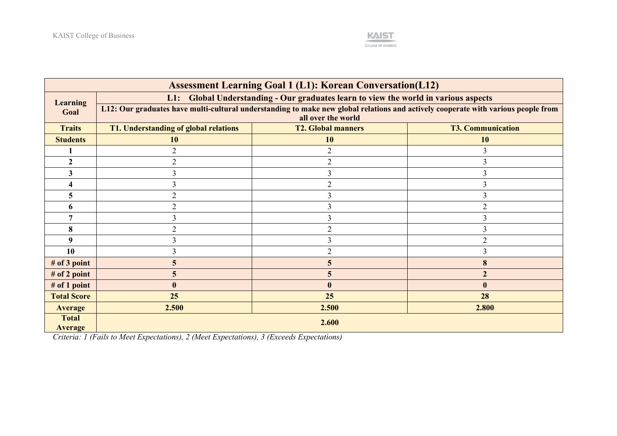

| <b>Assessment Learning Goal 1 (L1): Korean Conversation(L12)</b> |                                                                                                                                                         |                           |                          |  |  |  |
|------------------------------------------------------------------|---------------------------------------------------------------------------------------------------------------------------------------------------------|---------------------------|--------------------------|--|--|--|
| <b>Learning</b>                                                  | L1: Global Understanding - Our graduates learn to view the world in various aspects                                                                     |                           |                          |  |  |  |
| Goal                                                             | L12: Our graduates have multi-cultural understanding to make new global relations and actively cooperate with various people from<br>all over the world |                           |                          |  |  |  |
|                                                                  |                                                                                                                                                         |                           |                          |  |  |  |
| <b>Traits</b>                                                    | T1. Understanding of global relations                                                                                                                   | <b>T2. Global manners</b> | <b>T3. Communication</b> |  |  |  |
| <b>Students</b>                                                  | 10                                                                                                                                                      | <b>10</b>                 | <b>10</b>                |  |  |  |
|                                                                  | $\overline{2}$                                                                                                                                          |                           |                          |  |  |  |
| 2                                                                | $\overline{2}$                                                                                                                                          |                           |                          |  |  |  |
| 3                                                                |                                                                                                                                                         |                           |                          |  |  |  |
|                                                                  |                                                                                                                                                         |                           |                          |  |  |  |
|                                                                  | 2                                                                                                                                                       |                           |                          |  |  |  |
| 6                                                                | 2                                                                                                                                                       |                           |                          |  |  |  |
|                                                                  |                                                                                                                                                         |                           |                          |  |  |  |
| 8                                                                | $\overline{2}$                                                                                                                                          |                           |                          |  |  |  |
| 9                                                                |                                                                                                                                                         |                           |                          |  |  |  |
| 10                                                               | 3                                                                                                                                                       |                           |                          |  |  |  |
| # of $3$ point                                                   | 5                                                                                                                                                       | 5                         |                          |  |  |  |
| $#$ of 2 point                                                   | 5                                                                                                                                                       |                           |                          |  |  |  |
| # of 1 point                                                     | $\mathbf{0}$                                                                                                                                            |                           |                          |  |  |  |
| <b>Total Score</b>                                               | 25                                                                                                                                                      | 25                        | 28                       |  |  |  |
| <b>Average</b>                                                   | 2.500                                                                                                                                                   | 2.500                     | 2.800                    |  |  |  |
| <b>Total</b><br><b>Average</b>                                   |                                                                                                                                                         | 2.600                     |                          |  |  |  |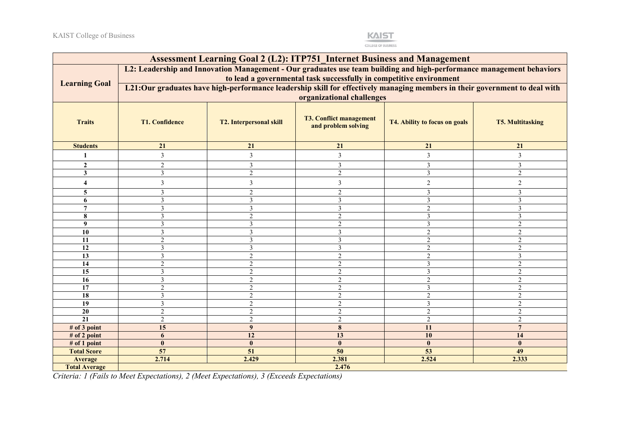

| <b>Assessment Learning Goal 2 (L2): ITP751 Internet Business and Management</b>                                      |                                                                                                                                                                              |                                                                                                                            |                 |                 |                |  |  |
|----------------------------------------------------------------------------------------------------------------------|------------------------------------------------------------------------------------------------------------------------------------------------------------------------------|----------------------------------------------------------------------------------------------------------------------------|-----------------|-----------------|----------------|--|--|
| L2: Leadership and Innovation Management - Our graduates use team building and high-performance management behaviors |                                                                                                                                                                              |                                                                                                                            |                 |                 |                |  |  |
|                                                                                                                      |                                                                                                                                                                              | to lead a governmental task successfully in competitive environment                                                        |                 |                 |                |  |  |
| <b>Learning Goal</b>                                                                                                 |                                                                                                                                                                              | L21:Our graduates have high-performance leadership skill for effectively managing members in their government to deal with |                 |                 |                |  |  |
|                                                                                                                      | organizational challenges                                                                                                                                                    |                                                                                                                            |                 |                 |                |  |  |
| <b>Traits</b>                                                                                                        | <b>T3. Conflict management</b><br><b>T1. Confidence</b><br><b>T2. Interpersonal skill</b><br>T4. Ability to focus on goals<br><b>T5. Multitasking</b><br>and problem solving |                                                                                                                            |                 |                 |                |  |  |
| <b>Students</b>                                                                                                      | 21                                                                                                                                                                           | 21                                                                                                                         | 21              | 21              | 21             |  |  |
| 1                                                                                                                    | 3                                                                                                                                                                            | 3                                                                                                                          | 3               | 3               | $\mathfrak{Z}$ |  |  |
| $\mathbf{2}$                                                                                                         | $\overline{c}$                                                                                                                                                               | 3                                                                                                                          | $\overline{3}$  | 3               | $\overline{3}$ |  |  |
| 3                                                                                                                    | 3                                                                                                                                                                            | $\overline{2}$                                                                                                             | $\overline{2}$  | $\mathfrak{Z}$  | $\overline{2}$ |  |  |
| 4                                                                                                                    | $\overline{3}$                                                                                                                                                               | 3                                                                                                                          | $\overline{3}$  | $\sqrt{2}$      | $\overline{2}$ |  |  |
| 5                                                                                                                    | 3                                                                                                                                                                            | $\overline{c}$                                                                                                             | $\overline{2}$  | $\overline{3}$  | $\overline{3}$ |  |  |
| 6                                                                                                                    | 3                                                                                                                                                                            | 3                                                                                                                          | $\overline{3}$  | $\mathfrak{Z}$  | $\overline{3}$ |  |  |
| $\overline{7}$                                                                                                       | $\mathfrak{Z}$                                                                                                                                                               | 3                                                                                                                          | 3               | $\sqrt{2}$      | $\overline{3}$ |  |  |
| 8                                                                                                                    | 3                                                                                                                                                                            | $\mathcal{D}_{\mathcal{A}}$                                                                                                | $\overline{2}$  | $\mathfrak{Z}$  | $\overline{3}$ |  |  |
| 9                                                                                                                    | 3                                                                                                                                                                            | 3                                                                                                                          | $\overline{2}$  | 3               | $\overline{2}$ |  |  |
| 10                                                                                                                   | 3                                                                                                                                                                            | $\mathbf{3}$                                                                                                               | 3               | $\overline{2}$  | $\overline{2}$ |  |  |
| 11                                                                                                                   | $\overline{2}$                                                                                                                                                               | 3                                                                                                                          | 3               | 2               | $\overline{2}$ |  |  |
| 12                                                                                                                   | 3                                                                                                                                                                            | 3                                                                                                                          | $\overline{3}$  | $\overline{2}$  | $\overline{2}$ |  |  |
| 13                                                                                                                   | 3                                                                                                                                                                            | 2                                                                                                                          | $\overline{2}$  | $\overline{2}$  | $\mathfrak{Z}$ |  |  |
| 14                                                                                                                   | $\overline{2}$                                                                                                                                                               | $\mathfrak{D}$                                                                                                             | $\overline{2}$  | $\overline{3}$  | $\overline{2}$ |  |  |
| 15                                                                                                                   | 3                                                                                                                                                                            | $\mathfrak{D}$                                                                                                             | $\overline{2}$  | 3               | $\overline{2}$ |  |  |
| 16                                                                                                                   | 3                                                                                                                                                                            | $\overline{2}$                                                                                                             | $\overline{2}$  | $\overline{2}$  | $\overline{2}$ |  |  |
| 17                                                                                                                   | $\overline{2}$                                                                                                                                                               | 2                                                                                                                          | $\overline{2}$  | 3               | $\overline{2}$ |  |  |
| 18                                                                                                                   | $\overline{3}$                                                                                                                                                               | $\overline{2}$                                                                                                             | $\overline{2}$  | $\overline{2}$  | $\overline{2}$ |  |  |
| $\overline{19}$                                                                                                      | $\overline{3}$                                                                                                                                                               | $\overline{2}$                                                                                                             | $\overline{2}$  | $\mathfrak{Z}$  | $\overline{2}$ |  |  |
| 20                                                                                                                   | $\overline{2}$                                                                                                                                                               | 2                                                                                                                          | $\overline{2}$  | 2               | $\overline{2}$ |  |  |
| 21                                                                                                                   | $\overline{2}$                                                                                                                                                               | $\overline{2}$                                                                                                             | $\overline{2}$  | $\overline{2}$  | $\overline{2}$ |  |  |
| # of 3 point                                                                                                         | 15                                                                                                                                                                           | $\boldsymbol{9}$                                                                                                           | 8               | 11              | $\overline{7}$ |  |  |
| # of 2 point                                                                                                         | 6                                                                                                                                                                            | 12                                                                                                                         | 13              | 10              | 14             |  |  |
| # of 1 point                                                                                                         | $\mathbf{0}$                                                                                                                                                                 | $\mathbf{0}$                                                                                                               | $\mathbf{0}$    | $\mathbf{0}$    | $\mathbf{0}$   |  |  |
| <b>Total Score</b>                                                                                                   | $\overline{57}$                                                                                                                                                              | 51                                                                                                                         | $\overline{50}$ | $\overline{53}$ | 49             |  |  |
| <b>Average</b>                                                                                                       | 2.714                                                                                                                                                                        | 2.429                                                                                                                      | 2.381           | 2.524           | 2.333          |  |  |
| <b>Total Average</b>                                                                                                 |                                                                                                                                                                              |                                                                                                                            | 2.476           |                 |                |  |  |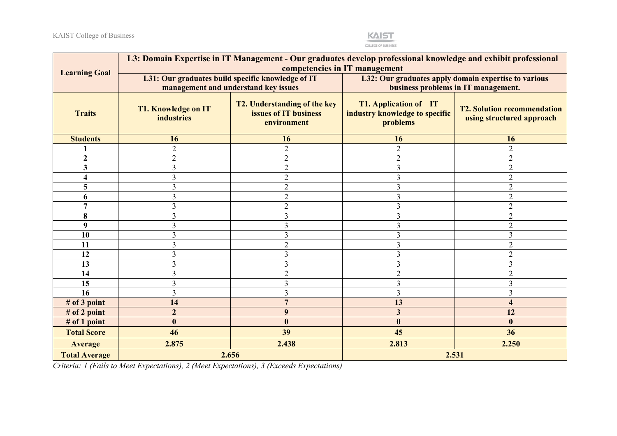

| <b>Learning Goal</b> | L3: Domain Expertise in IT Management - Our graduates develop professional knowledge and exhibit professional<br>competencies in IT management |                                                                             |                                                                            |                                                                 |  |
|----------------------|------------------------------------------------------------------------------------------------------------------------------------------------|-----------------------------------------------------------------------------|----------------------------------------------------------------------------|-----------------------------------------------------------------|--|
|                      |                                                                                                                                                | L31: Our graduates build specific knowledge of IT                           | L32: Our graduates apply domain expertise to various                       |                                                                 |  |
|                      | management and understand key issues                                                                                                           |                                                                             | business problems in IT management.                                        |                                                                 |  |
| <b>Traits</b>        | <b>T1. Knowledge on IT</b><br><b>industries</b>                                                                                                | <b>T2. Understanding of the key</b><br>issues of IT business<br>environment | <b>T1. Application of</b> IT<br>industry knowledge to specific<br>problems | <b>T2. Solution recommendation</b><br>using structured approach |  |
| <b>Students</b>      | 16                                                                                                                                             | 16                                                                          | 16                                                                         | 16                                                              |  |
|                      | $\overline{2}$                                                                                                                                 | $\overline{2}$                                                              | $\overline{2}$                                                             | $\overline{2}$                                                  |  |
| $\mathbf{2}$         | $\overline{2}$                                                                                                                                 | $\overline{2}$                                                              | $\overline{2}$                                                             | $\overline{2}$                                                  |  |
| 3                    | 3                                                                                                                                              | $\overline{2}$                                                              | 3                                                                          | $\overline{2}$                                                  |  |
| 4                    | 3                                                                                                                                              | $\overline{2}$                                                              | $\overline{3}$                                                             | $\overline{2}$                                                  |  |
| 5                    | 3                                                                                                                                              | $\overline{2}$                                                              | $\overline{\mathbf{3}}$                                                    | $\overline{2}$                                                  |  |
| 6                    | 3                                                                                                                                              | $\overline{2}$                                                              | 3                                                                          | $\overline{2}$                                                  |  |
| $\overline{7}$       | 3                                                                                                                                              | $\overline{2}$                                                              | 3                                                                          | $\overline{2}$                                                  |  |
| 8                    | 3                                                                                                                                              | $\mathfrak{Z}$                                                              | 3                                                                          | $\overline{2}$                                                  |  |
| 9                    | 3                                                                                                                                              | 3                                                                           | 3                                                                          | $\overline{2}$                                                  |  |
| 10                   | 3                                                                                                                                              | 3                                                                           | $\overline{3}$                                                             | $\overline{3}$                                                  |  |
| 11                   | 3                                                                                                                                              | $\overline{2}$                                                              | 3                                                                          | $\overline{2}$                                                  |  |
| 12                   | 3                                                                                                                                              | 3                                                                           | 3                                                                          | $\overline{2}$                                                  |  |
| 13                   | 3                                                                                                                                              | $\overline{3}$                                                              | $\overline{\mathbf{3}}$                                                    | $\overline{3}$                                                  |  |
| 14                   | 3                                                                                                                                              | $\overline{2}$                                                              | $\overline{c}$                                                             | $\overline{2}$                                                  |  |
| 15                   | 3                                                                                                                                              | 3                                                                           | $\overline{3}$                                                             | $\overline{3}$                                                  |  |
| 16                   | 3                                                                                                                                              | $\overline{3}$                                                              | 3                                                                          | 3                                                               |  |
| # of 3 point         | 14                                                                                                                                             | $\overline{7}$                                                              | 13                                                                         | $\overline{\mathbf{4}}$                                         |  |
| # of 2 point         | $\overline{2}$                                                                                                                                 | 9                                                                           | $\overline{\mathbf{3}}$                                                    | 12                                                              |  |
| # of 1 point         | $\bf{0}$                                                                                                                                       | $\bf{0}$                                                                    | $\boldsymbol{0}$                                                           | $\boldsymbol{0}$                                                |  |
| <b>Total Score</b>   | 46                                                                                                                                             | 39                                                                          | 45                                                                         | 36                                                              |  |
| <b>Average</b>       | 2.875                                                                                                                                          | 2.438                                                                       | 2.813                                                                      | 2.250                                                           |  |
| <b>Total Average</b> |                                                                                                                                                | 2.656                                                                       |                                                                            | 2.531                                                           |  |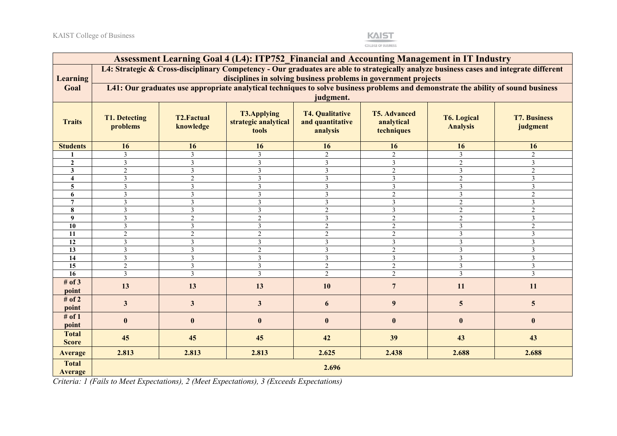

|                                | Assessment Learning Goal 4 (L4): ITP752 Financial and Accounting Management in IT Industry                                                                                                                                                                                                                         |                         |                         |                         |                         |                |                 |  |
|--------------------------------|--------------------------------------------------------------------------------------------------------------------------------------------------------------------------------------------------------------------------------------------------------------------------------------------------------------------|-------------------------|-------------------------|-------------------------|-------------------------|----------------|-----------------|--|
|                                | L4: Strategic & Cross-disciplinary Competency - Our graduates are able to strategically analyze business cases and integrate different                                                                                                                                                                             |                         |                         |                         |                         |                |                 |  |
| <b>Learning</b>                | disciplines in solving business problems in government projects                                                                                                                                                                                                                                                    |                         |                         |                         |                         |                |                 |  |
| Goal                           |                                                                                                                                                                                                                                                                                                                    |                         |                         |                         |                         |                |                 |  |
|                                | L41: Our graduates use appropriate analytical techniques to solve business problems and demonstrate the ability of sound business<br>judgment.                                                                                                                                                                     |                         |                         |                         |                         |                |                 |  |
| <b>Traits</b>                  | <b>T4. Qualitative</b><br><b>T3.Applying</b><br><b>T5. Advanced</b><br><b>T2.Factual</b><br><b>T1. Detecting</b><br><b>T6. Logical</b><br><b>T7. Business</b><br>and quantitative<br>strategic analytical<br>analytical<br>problems<br>knowledge<br><b>Analysis</b><br>judgment<br>analysis<br>techniques<br>tools |                         |                         |                         |                         |                |                 |  |
| <b>Students</b>                | 16                                                                                                                                                                                                                                                                                                                 | 16                      | 16                      | 16                      | 16                      | 16             | 16              |  |
|                                | $\overline{3}$                                                                                                                                                                                                                                                                                                     | $\overline{3}$          | 3                       | $\overline{2}$          | $\overline{2}$          | 3              | 2               |  |
| $\overline{2}$                 | $\overline{3}$                                                                                                                                                                                                                                                                                                     | $\overline{3}$          | $\overline{3}$          | $\overline{3}$          | $\overline{3}$          | $\overline{2}$ | $\mathfrak{Z}$  |  |
| 3                              | $\overline{2}$                                                                                                                                                                                                                                                                                                     | 3                       | 3                       | 3                       | $\overline{2}$          | 3              | $\overline{2}$  |  |
| $\overline{4}$                 | $\mathfrak{Z}$                                                                                                                                                                                                                                                                                                     | $\overline{2}$          | 3                       | $\overline{3}$          | $\overline{3}$          | $\overline{2}$ | $\mathfrak{Z}$  |  |
| 5 <sup>5</sup>                 | $\mathfrak{Z}$                                                                                                                                                                                                                                                                                                     | $\overline{3}$          | $\mathfrak{Z}$          | $\mathfrak{Z}$          | $\mathfrak{Z}$          | $\mathfrak{Z}$ | $\mathfrak{Z}$  |  |
| 6                              | $\mathfrak{Z}$                                                                                                                                                                                                                                                                                                     | $\overline{3}$          | 3                       | $\overline{\mathbf{3}}$ | $\overline{2}$          | $\overline{3}$ | $\overline{2}$  |  |
| $\overline{7}$                 | $\mathfrak{Z}$                                                                                                                                                                                                                                                                                                     | $\overline{3}$          | 3                       | $\overline{3}$          | $\overline{3}$          | $\overline{2}$ | $\mathfrak{Z}$  |  |
| 8                              | $\mathfrak{Z}$                                                                                                                                                                                                                                                                                                     | $\overline{\mathbf{3}}$ | $\mathfrak{Z}$          | $\overline{2}$          | $\mathfrak{Z}$          | $\overline{2}$ | $\overline{2}$  |  |
| $\boldsymbol{9}$               | $\mathfrak{Z}$                                                                                                                                                                                                                                                                                                     | $\overline{2}$          | $\overline{2}$          | $\overline{3}$          | $\overline{2}$          | $\overline{2}$ | 3               |  |
| 10                             | $\mathfrak{Z}$                                                                                                                                                                                                                                                                                                     | 3                       | 3                       | $\overline{2}$          | $\mathbf{2}$            | $\mathfrak{Z}$ | $\overline{2}$  |  |
| 11                             | $\overline{2}$                                                                                                                                                                                                                                                                                                     | $\overline{2}$          | $\mathfrak{2}$          | $\overline{2}$          | $\overline{2}$          | $\mathfrak{Z}$ | 3               |  |
| 12                             | $\mathfrak{Z}$                                                                                                                                                                                                                                                                                                     | $\overline{3}$          | 3                       | $\overline{\mathbf{3}}$ | $\overline{3}$          | $\mathfrak{Z}$ | $\overline{3}$  |  |
| 13                             | $\mathfrak{Z}$                                                                                                                                                                                                                                                                                                     | $\overline{\mathbf{3}}$ | $\overline{c}$          | $\mathfrak{Z}$          | $\overline{2}$          | $\mathfrak{Z}$ | $\mathfrak{Z}$  |  |
| 14                             | $\overline{3}$                                                                                                                                                                                                                                                                                                     | $\overline{3}$          | $\overline{\mathbf{3}}$ | $\overline{3}$          | $\overline{\mathbf{3}}$ | $\overline{3}$ | $\mathfrak{Z}$  |  |
| 15                             | $\sqrt{2}$                                                                                                                                                                                                                                                                                                         | 3                       | 3                       | $\overline{2}$          | $\overline{c}$          | $\mathfrak{Z}$ | 3               |  |
| 16                             | $\mathfrak{Z}$                                                                                                                                                                                                                                                                                                     | $\overline{3}$          | $\mathfrak{Z}$          | $\overline{2}$          | $\overline{2}$          | $\mathfrak{Z}$ | $\overline{3}$  |  |
| # of $3$<br>point              | 13                                                                                                                                                                                                                                                                                                                 | 13                      | 13                      | 10                      | $\overline{7}$          | 11             | 11              |  |
| # of $2$<br>point              | $\mathbf{3}$                                                                                                                                                                                                                                                                                                       | $\overline{\mathbf{3}}$ | $\overline{\mathbf{3}}$ | 6                       | $\boldsymbol{9}$        | 5 <sup>5</sup> | $5\phantom{.0}$ |  |
| # of $1$<br>point              | $\bf{0}$                                                                                                                                                                                                                                                                                                           | $\bf{0}$                | $\bf{0}$                | $\bf{0}$                | $\mathbf{0}$            | $\bf{0}$       | $\bf{0}$        |  |
| <b>Total</b><br><b>Score</b>   | 45                                                                                                                                                                                                                                                                                                                 | 45                      | 45                      | 42                      | 39                      | 43             | 43              |  |
| <b>Average</b>                 | 2.813                                                                                                                                                                                                                                                                                                              | 2.813                   | 2.813                   | 2.625                   | 2.438                   | 2.688          | 2.688           |  |
| <b>Total</b><br><b>Average</b> | 2.696                                                                                                                                                                                                                                                                                                              |                         |                         |                         |                         |                |                 |  |